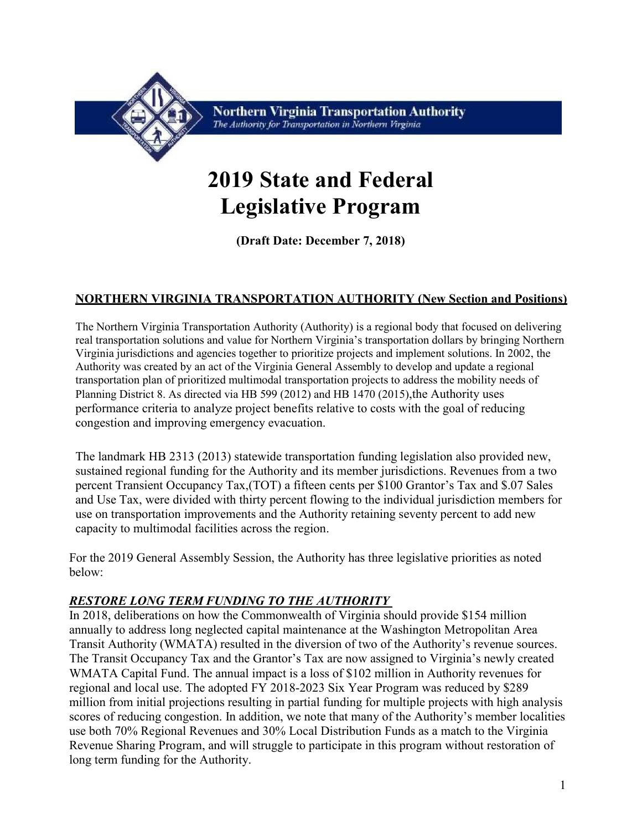

**Northern Virginia Transportation Authority** The Authority for Transportation in Northern Virginia

# **2019 State and Federal Legislative Program**

**(Draft Date: December 7, 2018)**

# **NORTHERN VIRGINIA TRANSPORTATION AUTHORITY (New Section and Positions)**

The Northern Virginia Transportation Authority (Authority) is a regional body that focused on delivering real transportation solutions and value for Northern Virginia's transportation dollars by bringing Northern Virginia jurisdictions and agencies together to prioritize projects and implement solutions. In 2002, the Authority was created by an act of the Virginia General Assembly to develop and update a regional transportation plan of prioritized multimodal transportation projects to address the mobility needs of Planning District 8. As directed via HB 599 (2012) and HB 1470 (2015),the Authority uses performance criteria to analyze project benefits relative to costs with the goal of reducing congestion and improving emergency evacuation.

The landmark HB 2313 (2013) statewide transportation funding legislation also provided new, sustained regional funding for the Authority and its member jurisdictions. Revenues from a two percent Transient Occupancy Tax,(TOT) a fifteen cents per \$100 Grantor's Tax and \$.07 Sales and Use Tax, were divided with thirty percent flowing to the individual jurisdiction members for use on transportation improvements and the Authority retaining seventy percent to add new capacity to multimodal facilities across the region.

For the 2019 General Assembly Session, the Authority has three legislative priorities as noted below:

# *RESTORE LONG TERM FUNDING TO THE AUTHORITY*

In 2018, deliberations on how the Commonwealth of Virginia should provide \$154 million annually to address long neglected capital maintenance at the Washington Metropolitan Area Transit Authority (WMATA) resulted in the diversion of two of the Authority's revenue sources. The Transit Occupancy Tax and the Grantor's Tax are now assigned to Virginia's newly created WMATA Capital Fund. The annual impact is a loss of \$102 million in Authority revenues for regional and local use. The adopted FY 2018-2023 Six Year Program was reduced by \$289 million from initial projections resulting in partial funding for multiple projects with high analysis scores of reducing congestion. In addition, we note that many of the Authority's member localities use both 70% Regional Revenues and 30% Local Distribution Funds as a match to the Virginia Revenue Sharing Program, and will struggle to participate in this program without restoration of long term funding for the Authority.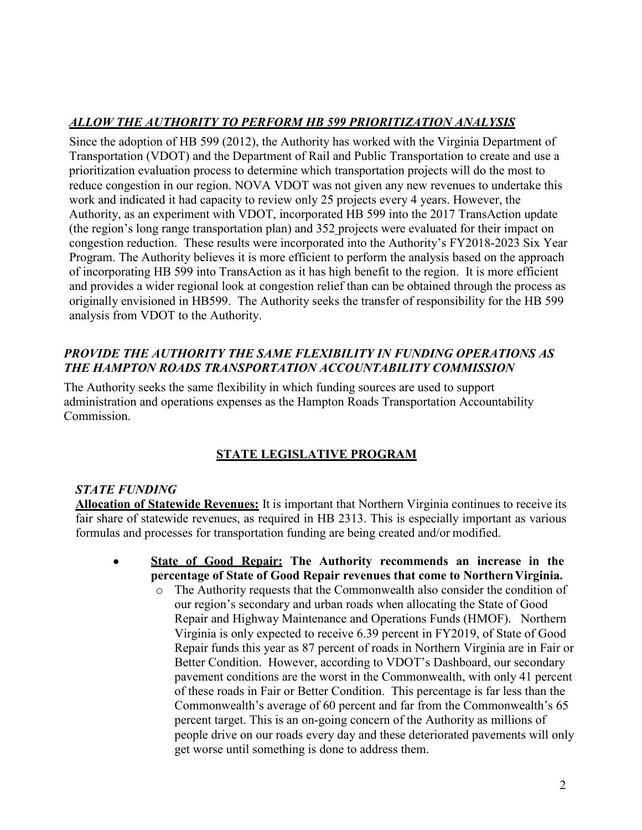## *ALLOW THE AUTHORITY TO PERFORM HB 599 PRIORITIZATION ANALYSIS*

Since the adoption of HB 599 (2012), the Authority has worked with the Virginia Department of Transportation (VDOT) and the Department of Rail and Public Transportation to create and use a prioritization evaluation process to determine which transportation projects will do the most to reduce congestion in our region. NOVA VDOT was not given any new revenues to undertake this work and indicated it had capacity to review only 25 projects every 4 years. However, the Authority, as an experiment with VDOT, incorporated HB 599 into the 2017 TransAction update (the region's long range transportation plan) and 352 projects were evaluated for their impact on congestion reduction. These results were incorporated into the Authority's FY2018-2023 Six Year Program. The Authority believes it is more efficient to perform the analysis based on the approach of incorporating HB 599 into TransAction as it has high benefit to the region. It is more efficient and provides a wider regional look at congestion relief than can be obtained through the process as originally envisioned in HB599. The Authority seeks the transfer of responsibility for the HB 599 analysis from VDOT to the Authority.

## *PROVIDE THE AUTHORITY THE SAME FLEXIBILITY IN FUNDING OPERATIONS AS THE HAMPTON ROADS TRANSPORTATION ACCOUNTABILITY COMMISSION*

The Authority seeks the same flexibility in which funding sources are used to support administration and operations expenses as the Hampton Roads Transportation Accountability Commission.

# **STATE LEGISLATIVE PROGRAM**

## *STATE FUNDING*

**Allocation of Statewide Revenues:** It is important that Northern Virginia continues to receive its fair share of statewide revenues, as required in HB 2313. This is especially important as various formulas and processes for transportation funding are being created and/or modified.

- **State of Good Repair: The Authority recommends an increase in the percentage of State of Good Repair revenues that come to NorthernVirginia.**
	- o The Authority requests that the Commonwealth also consider the condition of our region's secondary and urban roads when allocating the State of Good Repair and Highway Maintenance and Operations Funds (HMOF). Northern Virginia is only expected to receive 6.39 percent in FY2019, of State of Good Repair funds this year as 87 percent of roads in Northern Virginia are in Fair or Better Condition. However, according to VDOT's Dashboard, our secondary pavement conditions are the worst in the Commonwealth, with only 41 percent of these roads in Fair or Better Condition. This percentage is far less than the Commonwealth's average of 60 percent and far from the Commonwealth's 65 percent target. This is an on-going concern of the Authority as millions of people drive on our roads every day and these deteriorated pavements will only get worse until something is done to address them.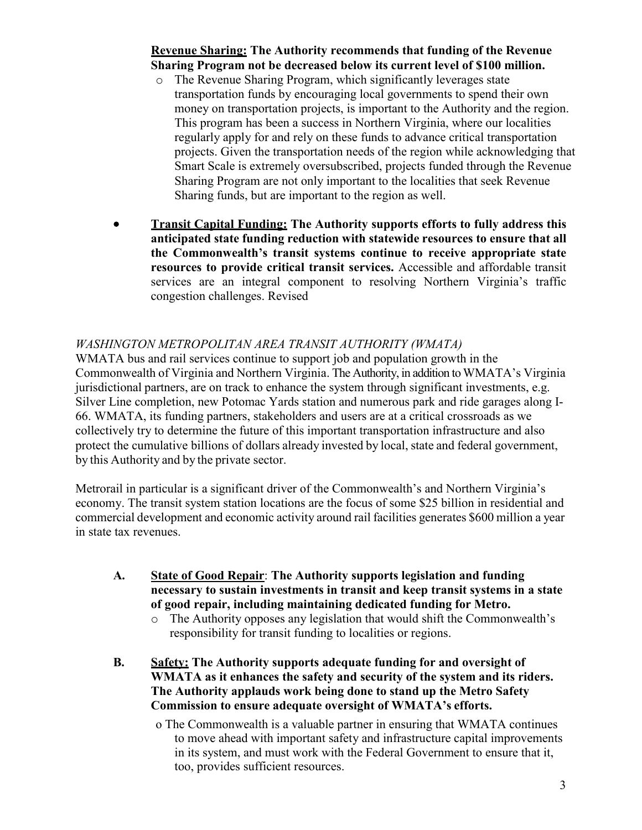## **Revenue Sharing: The Authority recommends that funding of the Revenue Sharing Program not be decreased below its current level of \$100 million.**

- o The Revenue Sharing Program, which significantly leverages state transportation funds by encouraging local governments to spend their own money on transportation projects, is important to the Authority and the region. This program has been a success in Northern Virginia, where our localities regularly apply for and rely on these funds to advance critical transportation projects. Given the transportation needs of the region while acknowledging that Smart Scale is extremely oversubscribed, projects funded through the Revenue Sharing Program are not only important to the localities that seek Revenue Sharing funds, but are important to the region as well.
- **Transit Capital Funding: The Authority supports efforts to fully address this anticipated state funding reduction with statewide resources to ensure that all the Commonwealth's transit systems continue to receive appropriate state resources to provide critical transit services.** Accessible and affordable transit services are an integral component to resolving Northern Virginia's traffic congestion challenges. Revised

# *WASHINGTON METROPOLITAN AREA TRANSIT AUTHORITY (WMATA)*

WMATA bus and rail services continue to support job and population growth in the Commonwealth of Virginia and Northern Virginia. The Authority, in addition to WMATA's Virginia jurisdictional partners, are on track to enhance the system through significant investments, e.g. Silver Line completion, new Potomac Yards station and numerous park and ride garages along I-66. WMATA, its funding partners, stakeholders and users are at a critical crossroads as we collectively try to determine the future of this important transportation infrastructure and also protect the cumulative billions of dollars already invested by local, state and federal government, by this Authority and by the private sector.

Metrorail in particular is a significant driver of the Commonwealth's and Northern Virginia's economy. The transit system station locations are the focus of some \$25 billion in residential and commercial development and economic activity around rail facilities generates \$600 million a year in state tax revenues.

- **A. State of Good Repair**: **The Authority supports legislation and funding necessary to sustain investments in transit and keep transit systems in a state of good repair, including maintaining dedicated funding for Metro.**
	- o The Authority opposes any legislation that would shift the Commonwealth's responsibility for transit funding to localities or regions.
- **B. Safety: The Authority supports adequate funding for and oversight of WMATA as it enhances the safety and security of the system and its riders. The Authority applauds work being done to stand up the Metro Safety Commission to ensure adequate oversight of WMATA's efforts.**
	- o The Commonwealth is a valuable partner in ensuring that WMATA continues to move ahead with important safety and infrastructure capital improvements in its system, and must work with the Federal Government to ensure that it, too, provides sufficient resources.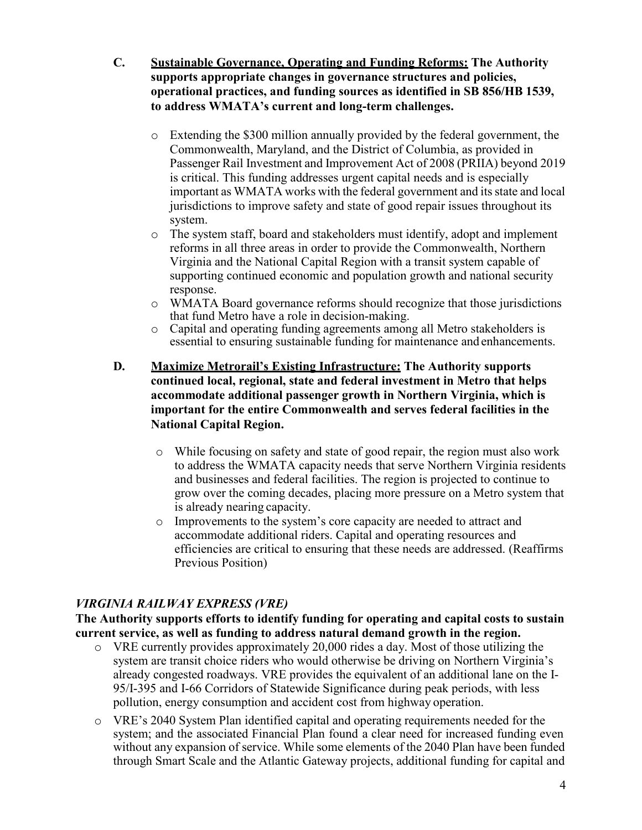- **C. Sustainable Governance, Operating and Funding Reforms: The Authority supports appropriate changes in governance structures and policies, operational practices, and funding sources as identified in SB 856/HB 1539, to address WMATA's current and long-term challenges.**
	- o Extending the \$300 million annually provided by the federal government, the Commonwealth, Maryland, and the District of Columbia, as provided in Passenger Rail Investment and Improvement Act of 2008 (PRIIA) beyond 2019 is critical. This funding addresses urgent capital needs and is especially important as WMATA works with the federal government and itsstate and local jurisdictions to improve safety and state of good repair issues throughout its system.
	- o The system staff, board and stakeholders must identify, adopt and implement reforms in all three areas in order to provide the Commonwealth, Northern Virginia and the National Capital Region with a transit system capable of supporting continued economic and population growth and national security response.
	- o WMATA Board governance reforms should recognize that those jurisdictions that fund Metro have a role in decision-making.
	- o Capital and operating funding agreements among all Metro stakeholders is essential to ensuring sustainable funding for maintenance and enhancements.
- **D. Maximize Metrorail's Existing Infrastructure: The Authority supports continued local, regional, state and federal investment in Metro that helps accommodate additional passenger growth in Northern Virginia, which is important for the entire Commonwealth and serves federal facilities in the National Capital Region.**
	- o While focusing on safety and state of good repair, the region must also work to address the WMATA capacity needs that serve Northern Virginia residents and businesses and federal facilities. The region is projected to continue to grow over the coming decades, placing more pressure on a Metro system that is already nearing capacity.
	- o Improvements to the system's core capacity are needed to attract and accommodate additional riders. Capital and operating resources and efficiencies are critical to ensuring that these needs are addressed. (Reaffirms Previous Position)

# *VIRGINIA RAILWAY EXPRESS (VRE)*

**The Authority supports efforts to identify funding for operating and capital costs to sustain current service, as well as funding to address natural demand growth in the region.**

- o VRE currently provides approximately 20,000 rides a day. Most of those utilizing the system are transit choice riders who would otherwise be driving on Northern Virginia's already congested roadways. VRE provides the equivalent of an additional lane on the I-95/I-395 and I-66 Corridors of Statewide Significance during peak periods, with less pollution, energy consumption and accident cost from highway operation.
- o VRE's 2040 System Plan identified capital and operating requirements needed for the system; and the associated Financial Plan found a clear need for increased funding even without any expansion of service. While some elements of the 2040 Plan have been funded through Smart Scale and the Atlantic Gateway projects, additional funding for capital and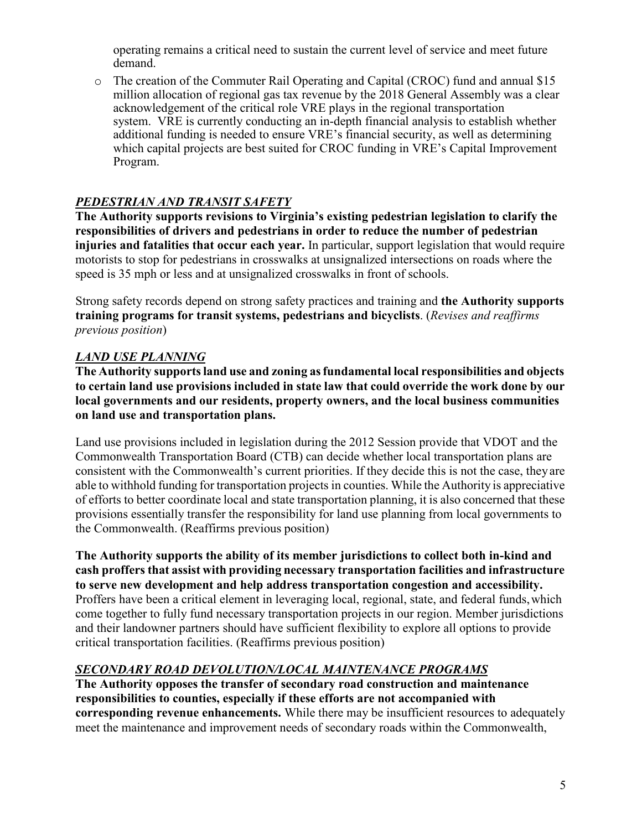operating remains a critical need to sustain the current level of service and meet future demand.

o The creation of the Commuter Rail Operating and Capital (CROC) fund and annual \$15 million allocation of regional gas tax revenue by the 2018 General Assembly was a clear acknowledgement of the critical role VRE plays in the regional transportation system. VRE is currently conducting an in-depth financial analysis to establish whether additional funding is needed to ensure VRE's financial security, as well as determining which capital projects are best suited for CROC funding in VRE's Capital Improvement Program.

# *PEDESTRIAN AND TRANSIT SAFETY*

**The Authority supports revisions to Virginia's existing pedestrian legislation to clarify the responsibilities of drivers and pedestrians in order to reduce the number of pedestrian injuries and fatalities that occur each year.** In particular, support legislation that would require motorists to stop for pedestrians in crosswalks at unsignalized intersections on roads where the speed is 35 mph or less and at unsignalized crosswalks in front of schools.

Strong safety records depend on strong safety practices and training and **the Authority supports training programs for transit systems, pedestrians and bicyclists**. (*Revises and reaffirms previous position*)

# *LAND USE PLANNING*

**The Authority supportsland use and zoning asfundamental local responsibilities and objects to certain land use provisions included in state law that could override the work done by our local governments and our residents, property owners, and the local business communities on land use and transportation plans.**

Land use provisions included in legislation during the 2012 Session provide that VDOT and the Commonwealth Transportation Board (CTB) can decide whether local transportation plans are consistent with the Commonwealth's current priorities. If they decide this is not the case, theyare able to withhold funding for transportation projects in counties. While the Authority is appreciative of efforts to better coordinate local and state transportation planning, it is also concerned that these provisions essentially transfer the responsibility for land use planning from local governments to the Commonwealth. (Reaffirms previous position)

**The Authority supports the ability of its member jurisdictions to collect both in-kind and cash proffers that assist with providing necessary transportation facilities and infrastructure to serve new development and help address transportation congestion and accessibility.**  Proffers have been a critical element in leveraging local, regional, state, and federal funds,which come together to fully fund necessary transportation projects in our region. Member jurisdictions and their landowner partners should have sufficient flexibility to explore all options to provide critical transportation facilities. (Reaffirms previous position)

# *SECONDARY ROAD DEVOLUTION/LOCAL MAINTENANCE PROGRAMS*

**The Authority opposes the transfer of secondary road construction and maintenance responsibilities to counties, especially if these efforts are not accompanied with corresponding revenue enhancements.** While there may be insufficient resources to adequately meet the maintenance and improvement needs of secondary roads within the Commonwealth,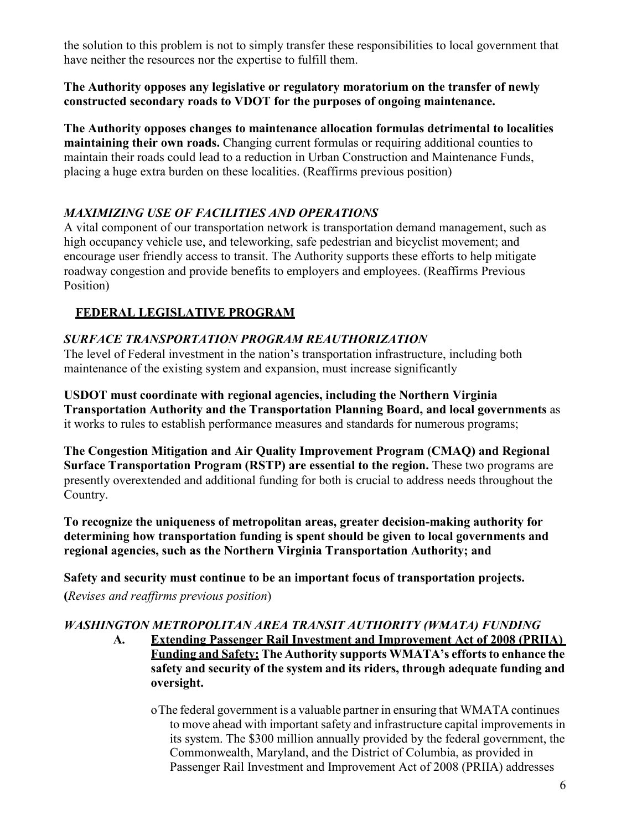the solution to this problem is not to simply transfer these responsibilities to local government that have neither the resources nor the expertise to fulfill them.

#### **The Authority opposes any legislative or regulatory moratorium on the transfer of newly constructed secondary roads to VDOT for the purposes of ongoing maintenance.**

**The Authority opposes changes to maintenance allocation formulas detrimental to localities maintaining their own roads.** Changing current formulas or requiring additional counties to maintain their roads could lead to a reduction in Urban Construction and Maintenance Funds, placing a huge extra burden on these localities. (Reaffirms previous position)

# *MAXIMIZING USE OF FACILITIES AND OPERATIONS*

A vital component of our transportation network is transportation demand management, such as high occupancy vehicle use, and teleworking, safe pedestrian and bicyclist movement; and encourage user friendly access to transit. The Authority supports these efforts to help mitigate roadway congestion and provide benefits to employers and employees. (Reaffirms Previous Position)

# **FEDERAL LEGISLATIVE PROGRAM**

# *SURFACE TRANSPORTATION PROGRAM REAUTHORIZATION*

The level of Federal investment in the nation's transportation infrastructure, including both maintenance of the existing system and expansion, must increase significantly

**USDOT must coordinate with regional agencies, including the Northern Virginia Transportation Authority and the Transportation Planning Board, and local governments** as it works to rules to establish performance measures and standards for numerous programs;

**The Congestion Mitigation and Air Quality Improvement Program (CMAQ) and Regional Surface Transportation Program (RSTP) are essential to the region.** These two programs are presently overextended and additional funding for both is crucial to address needs throughout the Country.

**To recognize the uniqueness of metropolitan areas, greater decision-making authority for determining how transportation funding is spent should be given to local governments and regional agencies, such as the Northern Virginia Transportation Authority; and**

**Safety and security must continue to be an important focus of transportation projects.**

**(***Revises and reaffirms previous position*)

## *WASHINGTON METROPOLITAN AREA TRANSIT AUTHORITY (WMATA) FUNDING*

- **A. Extending Passenger Rail Investment and Improvement Act of 2008 (PRIIA) Funding and Safety: The Authority supports WMATA's effortsto enhance the safety and security of the system and its riders, through adequate funding and oversight.**
	- oThe federal government is a valuable partner in ensuring that WMATA continues to move ahead with important safety and infrastructure capital improvements in its system. The \$300 million annually provided by the federal government, the Commonwealth, Maryland, and the District of Columbia, as provided in Passenger Rail Investment and Improvement Act of 2008 (PRIIA) addresses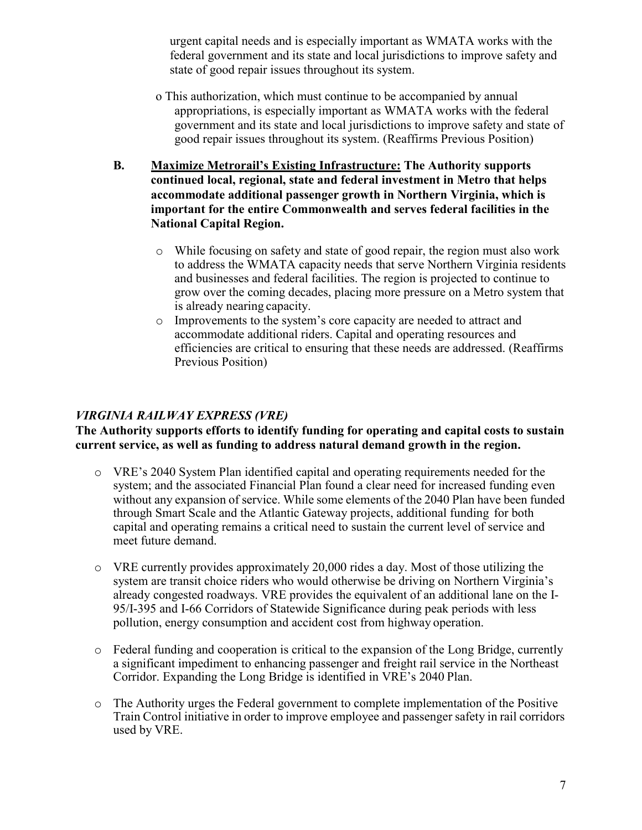urgent capital needs and is especially important as WMATA works with the federal government and its state and local jurisdictions to improve safety and state of good repair issues throughout its system.

- o This authorization, which must continue to be accompanied by annual appropriations, is especially important as WMATA works with the federal government and its state and local jurisdictions to improve safety and state of good repair issues throughout its system. (Reaffirms Previous Position)
- **B. Maximize Metrorail's Existing Infrastructure: The Authority supports continued local, regional, state and federal investment in Metro that helps accommodate additional passenger growth in Northern Virginia, which is important for the entire Commonwealth and serves federal facilities in the National Capital Region.**
	- o While focusing on safety and state of good repair, the region must also work to address the WMATA capacity needs that serve Northern Virginia residents and businesses and federal facilities. The region is projected to continue to grow over the coming decades, placing more pressure on a Metro system that is already nearing capacity.
	- o Improvements to the system's core capacity are needed to attract and accommodate additional riders. Capital and operating resources and efficiencies are critical to ensuring that these needs are addressed. (Reaffirms Previous Position)

## *VIRGINIA RAILWAY EXPRESS (VRE)*

#### **The Authority supports efforts to identify funding for operating and capital costs to sustain current service, as well as funding to address natural demand growth in the region.**

- o VRE's 2040 System Plan identified capital and operating requirements needed for the system; and the associated Financial Plan found a clear need for increased funding even without any expansion of service. While some elements of the 2040 Plan have been funded through Smart Scale and the Atlantic Gateway projects, additional funding for both capital and operating remains a critical need to sustain the current level of service and meet future demand.
- o VRE currently provides approximately 20,000 rides a day. Most of those utilizing the system are transit choice riders who would otherwise be driving on Northern Virginia's already congested roadways. VRE provides the equivalent of an additional lane on the I-95/I-395 and I-66 Corridors of Statewide Significance during peak periods with less pollution, energy consumption and accident cost from highway operation.
- $\circ$  Federal funding and cooperation is critical to the expansion of the Long Bridge, currently a significant impediment to enhancing passenger and freight rail service in the Northeast Corridor. Expanding the Long Bridge is identified in VRE's 2040 Plan.
- o The Authority urges the Federal government to complete implementation of the Positive Train Control initiative in order to improve employee and passenger safety in rail corridors used by VRE.